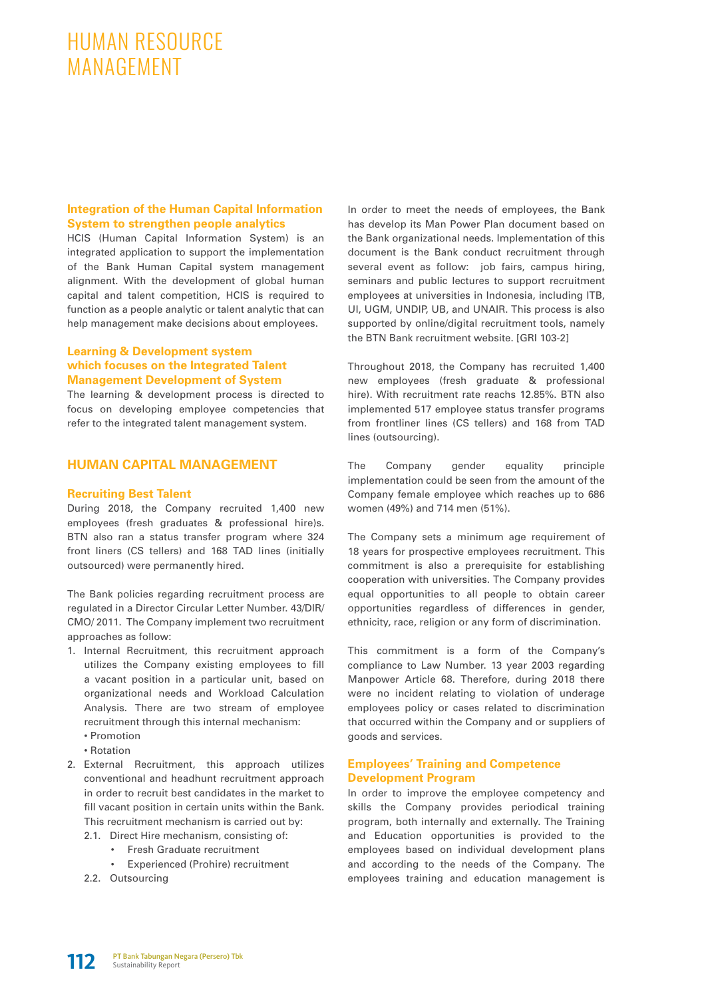# HUMAN RESOURCE MANAGEMENT

# **Integration of the Human Capital Information System to strengthen people analytics**

HCIS (Human Capital Information System) is an integrated application to support the implementation of the Bank Human Capital system management alignment. With the development of global human capital and talent competition, HCIS is required to function as a people analytic or talent analytic that can help management make decisions about employees.

### **Learning & Development system which focuses on the Integrated Talent Management Development of System**

The learning & development process is directed to focus on developing employee competencies that refer to the integrated talent management system.

# **HUMAN CAPITAL MANAGEMENT**

#### **Recruiting Best Talent**

During 2018, the Company recruited 1,400 new employees (fresh graduates & professional hire)s. BTN also ran a status transfer program where 324 front liners (CS tellers) and 168 TAD lines (initially outsourced) were permanently hired.

The Bank policies regarding recruitment process are regulated in a Director Circular Letter Number. 43/DIR/ CMO/ 2011. The Company implement two recruitment approaches as follow:

- 1. Internal Recruitment, this recruitment approach utilizes the Company existing employees to fill a vacant position in a particular unit, based on organizational needs and Workload Calculation Analysis. There are two stream of employee recruitment through this internal mechanism:
	- Promotion
	- Rotation
- 2. External Recruitment, this approach utilizes conventional and headhunt recruitment approach in order to recruit best candidates in the market to fill vacant position in certain units within the Bank. This recruitment mechanism is carried out by:
	- 2.1. Direct Hire mechanism, consisting of:
		- Fresh Graduate recruitment
		- Experienced (Prohire) recruitment
	- 2.2. Outsourcing

In order to meet the needs of employees, the Bank has develop its Man Power Plan document based on the Bank organizational needs. Implementation of this document is the Bank conduct recruitment through several event as follow: job fairs, campus hiring, seminars and public lectures to support recruitment employees at universities in Indonesia, including ITB, UI, UGM, UNDIP, UB, and UNAIR. This process is also supported by online/digital recruitment tools, namely the BTN Bank recruitment website. [GRI 103-2]

Throughout 2018, the Company has recruited 1,400 new employees (fresh graduate & professional hire). With recruitment rate reachs 12.85%. BTN also implemented 517 employee status transfer programs from frontliner lines (CS tellers) and 168 from TAD lines (outsourcing).

The Company gender equality principle implementation could be seen from the amount of the Company female employee which reaches up to 686 women (49%) and 714 men (51%).

The Company sets a minimum age requirement of 18 years for prospective employees recruitment. This commitment is also a prerequisite for establishing cooperation with universities. The Company provides equal opportunities to all people to obtain career opportunities regardless of differences in gender, ethnicity, race, religion or any form of discrimination.

This commitment is a form of the Company's compliance to Law Number. 13 year 2003 regarding Manpower Article 68. Therefore, during 2018 there were no incident relating to violation of underage employees policy or cases related to discrimination that occurred within the Company and or suppliers of goods and services.

# **Employees' Training and Competence Development Program**

In order to improve the employee competency and skills the Company provides periodical training program, both internally and externally. The Training and Education opportunities is provided to the employees based on individual development plans and according to the needs of the Company. The employees training and education management is